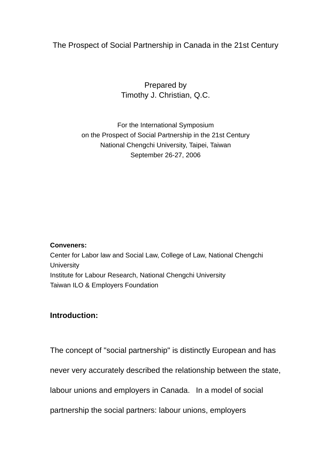# The Prospect of Social Partnership in Canada in the 21st Century

Prepared by Timothy J. Christian, Q.C.

For the International Symposium on the Prospect of Social Partnership in the 21st Century National Chengchi University, Taipei, Taiwan September 26-27, 2006

#### **Conveners:**

Center for Labor law and Social Law, College of Law, National Chengchi **University** Institute for Labour Research, National Chengchi University Taiwan ILO & Employers Foundation

# **Introduction:**

The concept of "social partnership" is distinctly European and has

never very accurately described the relationship between the state,

labour unions and employers in Canada. In a model of social

partnership the social partners: labour unions, employers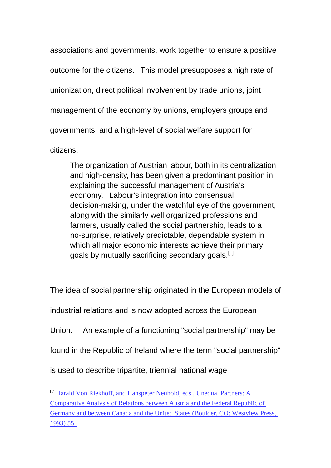associations and governments, work together to ensure a positive outcome for the citizens. This model presupposes a high rate of unionization, direct political involvement by trade unions, joint management of the economy by unions, employers groups and governments, and a high-level of social welfare support for citizens.

The organization of Austrian labour, both in its centralization and high-density, has been given a predominant position in explaining the successful management of Austria's economy. Labour's integration into consensual decision-making, under the watchful eye of the government, along with the similarly well organized professions and farmers, usually called the social partnership, leads to a no-surprise, relatively predictable, dependable system in which all major economic interests achieve their primary goals by mutually sacrificing secondary goals.<sup>[1]</sup>

The idea of social partnership originated in the European models of

industrial relations and is now adopted across the European

Union. An example of a functioning "social partnership" may be

found in the Republic of Ireland where the term "social partnership"

is used to describe tripartite, triennial national wage

<sup>[1]</sup> Harald Von Riekhoff, and Hanspeter Neuhold, eds., Unequal Partners: A Comparative Analysis of Relations between Austria and the Federal Republic of Germany and between Canada and the United States (Boulder, CO: Westview Press, 1993) 55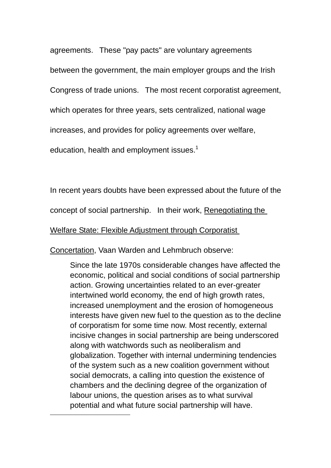agreements. These "pay pacts" are voluntary agreements between the government, the main employer groups and the Irish Congress of trade unions. The most recent corporatist agreement, which operates for three years, sets centralized, national wage increases, and provides for policy agreements over welfare,

education, health and employment issues.<sup>1</sup>

In recent years doubts have been expressed about the future of the

concept of social partnership. In their work, Renegotiating the

Welfare State: Flexible Adjustment through Corporatist

Concertation, Vaan Warden and Lehmbruch observe:

 $\overline{a}$ 

Since the late 1970s considerable changes have affected the economic, political and social conditions of social partnership action. Growing uncertainties related to an ever-greater intertwined world economy, the end of high growth rates, increased unemployment and the erosion of homogeneous interests have given new fuel to the question as to the decline of corporatism for some time now. Most recently, external incisive changes in social partnership are being underscored along with watchwords such as neoliberalism and globalization. Together with internal undermining tendencies of the system such as a new coalition government without social democrats, a calling into question the existence of chambers and the declining degree of the organization of labour unions, the question arises as to what survival potential and what future social partnership will have.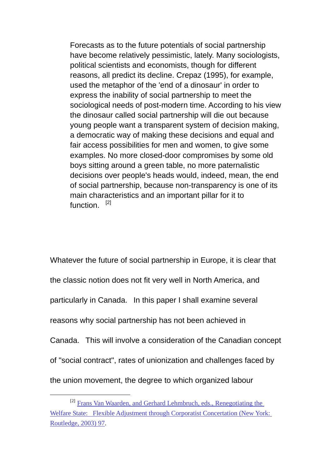Forecasts as to the future potentials of social partnership have become relatively pessimistic, lately. Many sociologists, political scientists and economists, though for different reasons, all predict its decline. Crepaz (1995), for example, used the metaphor of the 'end of a dinosaur' in order to express the inability of social partnership to meet the sociological needs of post-modern time. According to his view the dinosaur called social partnership will die out because young people want a transparent system of decision making, a democratic way of making these decisions and equal and fair access possibilities for men and women, to give some examples. No more closed-door compromises by some old boys sitting around a green table, no more paternalistic decisions over people's heads would, indeed, mean, the end of social partnership, because non-transparency is one of its main characteristics and an important pillar for it to function.<sup>[2]</sup>

Whatever the future of social partnership in Europe, it is clear that the classic notion does not fit very well in North America, and particularly in Canada. In this paper I shall examine several reasons why social partnership has not been achieved in Canada. This will involve a consideration of the Canadian concept of "social contract", rates of unionization and challenges faced by the union movement, the degree to which organized labour

 <sup>[2]</sup> Frans Van Waarden, and Gerhard Lehmbruch, eds., Renegotiating the Welfare State: Flexible Adjustment through Corporatist Concertation (New York: Routledge, 2003) 97.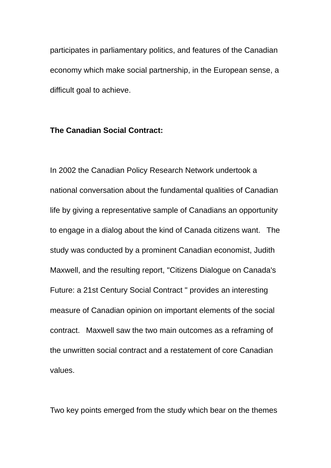participates in parliamentary politics, and features of the Canadian economy which make social partnership, in the European sense, a difficult goal to achieve.

### **The Canadian Social Contract:**

In 2002 the Canadian Policy Research Network undertook a national conversation about the fundamental qualities of Canadian life by giving a representative sample of Canadians an opportunity to engage in a dialog about the kind of Canada citizens want. The study was conducted by a prominent Canadian economist, Judith Maxwell, and the resulting report, "Citizens Dialogue on Canada's Future: a 21st Century Social Contract " provides an interesting measure of Canadian opinion on important elements of the social contract. Maxwell saw the two main outcomes as a reframing of the unwritten social contract and a restatement of core Canadian values.

Two key points emerged from the study which bear on the themes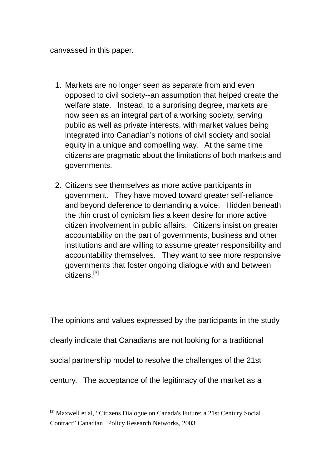canvassed in this paper.

- 1. Markets are no longer seen as separate from and even opposed to civil society--an assumption that helped create the welfare state. Instead, to a surprising degree, markets are now seen as an integral part of a working society, serving public as well as private interests, with market values being integrated into Canadian's notions of civil society and social equity in a unique and compelling way. At the same time citizens are pragmatic about the limitations of both markets and governments.
- 2. Citizens see themselves as more active participants in government. They have moved toward greater self-reliance and beyond deference to demanding a voice. Hidden beneath the thin crust of cynicism lies a keen desire for more active citizen involvement in public affairs. Citizens insist on greater accountability on the part of governments, business and other institutions and are willing to assume greater responsibility and accountability themselves. They want to see more responsive governments that foster ongoing dialogue with and between citizens.<sup>[3]</sup>

The opinions and values expressed by the participants in the study clearly indicate that Canadians are not looking for a traditional social partnership model to resolve the challenges of the 21st century. The acceptance of the legitimacy of the market as a

<sup>[3]</sup> Maxwell et al, "Citizens Dialogue on Canada's Future: a 21st Century Social Contract" Canadian Policy Research Networks, 2003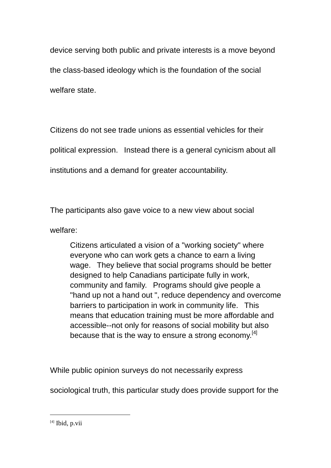device serving both public and private interests is a move beyond the class-based ideology which is the foundation of the social welfare state.

Citizens do not see trade unions as essential vehicles for their

political expression. Instead there is a general cynicism about all

institutions and a demand for greater accountability.

The participants also gave voice to a new view about social

welfare:

Citizens articulated a vision of a "working society" where everyone who can work gets a chance to earn a living wage. They believe that social programs should be better designed to help Canadians participate fully in work, community and family. Programs should give people a "hand up not a hand out ", reduce dependency and overcome barriers to participation in work in community life. This means that education training must be more affordable and accessible--not only for reasons of social mobility but also because that is the way to ensure a strong economy. $^{[4]}$ 

While public opinion surveys do not necessarily express

sociological truth, this particular study does provide support for the

 $[4]$  Ibid, p.vii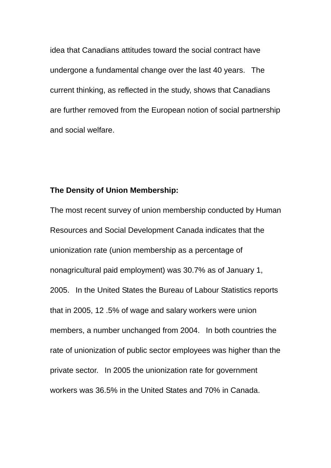idea that Canadians attitudes toward the social contract have undergone a fundamental change over the last 40 years. The current thinking, as reflected in the study, shows that Canadians are further removed from the European notion of social partnership and social welfare.

# **The Density of Union Membership:**

The most recent survey of union membership conducted by Human Resources and Social Development Canada indicates that the unionization rate (union membership as a percentage of nonagricultural paid employment) was 30.7% as of January 1, 2005. In the United States the Bureau of Labour Statistics reports that in 2005, 12 .5% of wage and salary workers were union members, a number unchanged from 2004. In both countries the rate of unionization of public sector employees was higher than the private sector. In 2005 the unionization rate for government workers was 36.5% in the United States and 70% in Canada.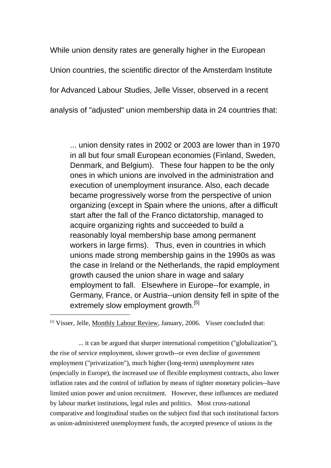While union density rates are generally higher in the European Union countries, the scientific director of the Amsterdam Institute for Advanced Labour Studies, Jelle Visser, observed in a recent analysis of "adjusted" union membership data in 24 countries that:

... union density rates in 2002 or 2003 are lower than in 1970 in all but four small European economies (Finland, Sweden, Denmark, and Belgium). These four happen to be the only ones in which unions are involved in the administration and execution of unemployment insurance. Also, each decade became progressively worse from the perspective of union organizing (except in Spain where the unions, after a difficult start after the fall of the Franco dictatorship, managed to acquire organizing rights and succeeded to build a reasonably loyal membership base among permanent workers in large firms). Thus, even in countries in which unions made strong membership gains in the 1990s as was the case in Ireland or the Netherlands, the rapid employment growth caused the union share in wage and salary employment to fall. Elsewhere in Europe--for example, in Germany, France, or Austria--union density fell in spite of the extremely slow employment growth.<sup>[5]</sup>

 $\overline{a}$ 

 ... it can be argued that sharper international competition ("globalization"), the rise of service employment, slower growth--or even decline of government employment ("privatization"), much higher (long-term) unemployment rates (especially in Europe), the increased use of flexible employment contracts, also lower inflation rates and the control of inflation by means of tighter monetary policies--have limited union power and union recruitment. However, these influences are mediated by labour market institutions, legal rules and politics. Most cross-national comparative and longitudinal studies on the subject find that such institutional factors as union-administered unemployment funds, the accepted presence of unions in the

<sup>[5]</sup> Visser, Jelle, Monthly Labour Review, January, 2006. Visser concluded that: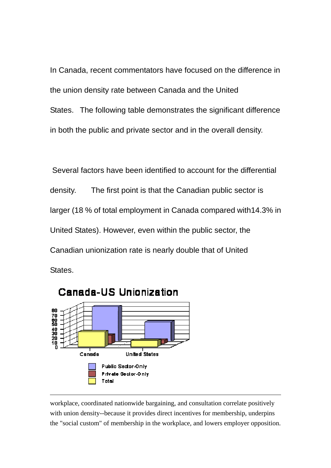In Canada, recent commentators have focused on the difference in the union density rate between Canada and the United States. The following table demonstrates the significant difference in both the public and private sector and in the overall density.

 Several factors have been identified to account for the differential density. The first point is that the Canadian public sector is larger (18 % of total employment in Canada compared with14.3% in United States). However, even within the public sector, the Canadian unionization rate is nearly double that of United States.



workplace, coordinated nationwide bargaining, and consultation correlate positively with union density--because it provides direct incentives for membership, underpins the "social custom" of membership in the workplace, and lowers employer opposition.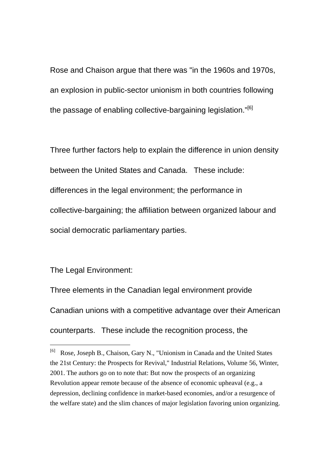Rose and Chaison argue that there was "in the 1960s and 1970s, an explosion in public-sector unionism in both countries following the passage of enabling collective-bargaining legislation."<sup>[6]</sup>

Three further factors help to explain the difference in union density between the United States and Canada. These include: differences in the legal environment; the performance in collective-bargaining; the affiliation between organized labour and social democratic parliamentary parties.

The Legal Environment:

 $\overline{a}$ 

Three elements in the Canadian legal environment provide Canadian unions with a competitive advantage over their American counterparts. These include the recognition process, the

<sup>[6]</sup> Rose, Joseph B., Chaison, Gary N., "Unionism in Canada and the United States the 21st Century: the Prospects for Revival," Industrial Relations, Volume 56, Winter, 2001. The authors go on to note that: But now the prospects of an organizing Revolution appear remote because of the absence of economic upheaval (e.g., a depression, declining confidence in market-based economies, and/or a resurgence of the welfare state) and the slim chances of major legislation favoring union organizing.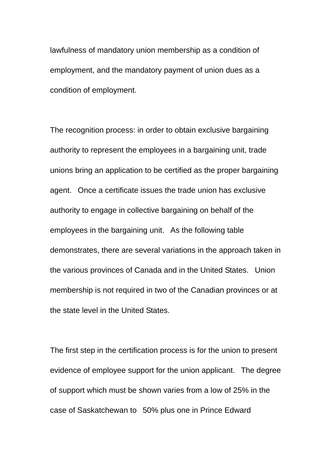lawfulness of mandatory union membership as a condition of employment, and the mandatory payment of union dues as a condition of employment.

The recognition process: in order to obtain exclusive bargaining authority to represent the employees in a bargaining unit, trade unions bring an application to be certified as the proper bargaining agent. Once a certificate issues the trade union has exclusive authority to engage in collective bargaining on behalf of the employees in the bargaining unit. As the following table demonstrates, there are several variations in the approach taken in the various provinces of Canada and in the United States. Union membership is not required in two of the Canadian provinces or at the state level in the United States.

The first step in the certification process is for the union to present evidence of employee support for the union applicant. The degree of support which must be shown varies from a low of 25% in the case of Saskatchewan to 50% plus one in Prince Edward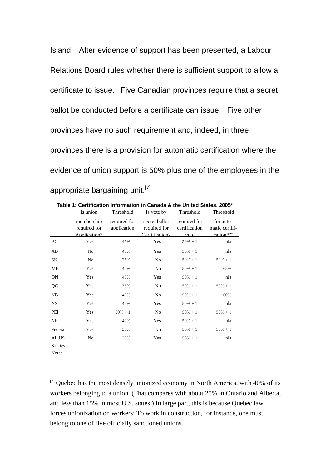Island. After evidence of support has been presented, a Labour Relations Board rules whether there is sufficient support to allow a certificate to issue. Five Canadian provinces require that a secret ballot be conducted before a certificate can issue. Five other provinces have no such requirement and, indeed, in three provinces there is a provision for automatic certification where the evidence of union support is 50% plus one of the employees in the appropriate bargaining unit.<sup>[7]</sup>

| <u>able 1: Certification Information in Canada &amp; the United States. 2005.</u> |                                            |                             |                                                 |                                       |                                          |  |  |
|-----------------------------------------------------------------------------------|--------------------------------------------|-----------------------------|-------------------------------------------------|---------------------------------------|------------------------------------------|--|--|
|                                                                                   | Is union                                   | Threshold                   | Is vote by                                      | Threshold                             | Threshold                                |  |  |
|                                                                                   | membership<br>required for<br>Application? | required for<br>application | secret ballot<br>required for<br>Certification? | required for<br>certification<br>vote | for auto-<br>matic certifi-<br>cation*"" |  |  |
| BC                                                                                | Yes                                        | 45%                         | Yes                                             | $50\% + 1$                            | nla                                      |  |  |
| AB                                                                                | N <sub>0</sub>                             | 40%                         | Yes                                             | $50\% + 1$                            | nla                                      |  |  |
| SΚ                                                                                | No                                         | 25%                         | No                                              | $50\% + 1$                            | $50\% + 1$                               |  |  |
| MB                                                                                | Yes                                        | 40%                         | No                                              | $50\% + 1$                            | 65%                                      |  |  |
| <b>ON</b>                                                                         | Yes                                        | 40%                         | Yes                                             | $50\% + 1$                            | nla                                      |  |  |
| QC                                                                                | Yes                                        | 35%                         | No                                              | $50\% + 1$                            | $50\% + 1$                               |  |  |
| NB.                                                                               | Yes                                        | 40%                         | No                                              | $50\% + 1$                            | 60%                                      |  |  |
| <b>NS</b>                                                                         | Yes                                        | 40%                         | Yes                                             | $50\% + 1$                            | nla                                      |  |  |
| PEI                                                                               | Yes                                        | $50\% + 1$                  | No                                              | $50\% + 1$                            | $50\% + 1$                               |  |  |
| NF                                                                                | Yes                                        | 40%                         | Yes                                             | $50\% + 1$                            | nla                                      |  |  |
| Federal                                                                           | Yes                                        | 35%                         | No                                              | $50\% + 1$                            | $50\% + 1$                               |  |  |
| All US                                                                            | No                                         | 30%                         | Yes                                             | $50\% + 1$                            | nla                                      |  |  |
| S ta tes                                                                          |                                            |                             |                                                 |                                       |                                          |  |  |

**Table 1: Certification Information in Canada & the United States, 2005\***

Notes

 $\overline{a}$ 

[7] Quebec has the most densely unionized economy in North America, with 40% of its workers belonging to a union. (That compares with about 25% in Ontario and Alberta, and less than 15% in most U.S. states.) In large part, this is because Quebec law forces unionization on workers: To work in construction, for instance, one must belong to one of five officially sanctioned unions.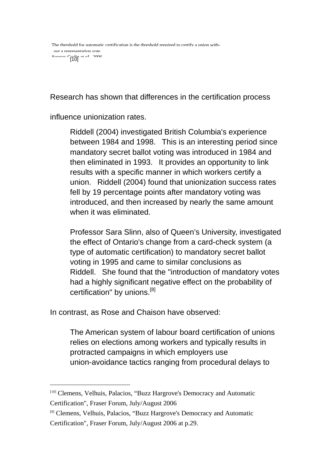Research has shown that differences in the certification process

influence unionization rates.

Riddell (2004) investigated British Columbia's experience between 1984 and 1998. This is an interesting period since mandatory secret ballot voting was introduced in 1984 and then eliminated in 1993. It provides an opportunity to link results with a specific manner in which workers certify a union. Riddell (2004) found that unionization success rates fell by 19 percentage points after mandatory voting was introduced, and then increased by nearly the same amount when it was eliminated.

Professor Sara Slinn, also of Queen's University, investigated the effect of Ontario's change from a card-check system (a type of automatic certification) to mandatory secret ballot voting in 1995 and came to similar conclusions as Riddell. She found that the "introduction of mandatory votes had a highly significant negative effect on the probability of certification" by unions.<sup>[8]</sup>

In contrast, as Rose and Chaison have observed:

 $\overline{a}$ 

The American system of labour board certification of unions relies on elections among workers and typically results in protracted campaigns in which employers use union-avoidance tactics ranging from procedural delays to

<sup>[10]</sup> Clemens, Velhuis, Palacios, "Buzz Hargrove's Democracy and Automatic Certification", Fraser Forum, July/August 2006

<sup>[8]</sup> Clemens, Velhuis, Palacios, "Buzz Hargrove's Democracy and Automatic Certification", Fraser Forum, July/August 2006 at p.29.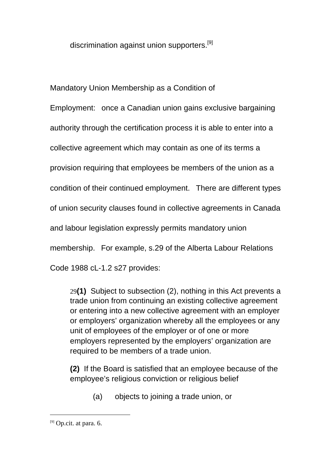discrimination against union supporters.<sup>[9]</sup>

Mandatory Union Membership as a Condition of

Employment: once a Canadian union gains exclusive bargaining

authority through the certification process it is able to enter into a

collective agreement which may contain as one of its terms a

provision requiring that employees be members of the union as a

condition of their continued employment. There are different types

of union security clauses found in collective agreements in Canada

and labour legislation expressly permits mandatory union

membership. For example, s.29 of the Alberta Labour Relations

Code 1988 cL-1.2 s27 provides:

29**(1)** Subject to subsection (2), nothing in this Act prevents a trade union from continuing an existing collective agreement or entering into a new collective agreement with an employer or employers' organization whereby all the employees or any unit of employees of the employer or of one or more employers represented by the employers' organization are required to be members of a trade union.

**(2)** If the Board is satisfied that an employee because of the employee's religious conviction or religious belief

(a) objects to joining a trade union, or

 $[9]$  Op.cit. at para. 6.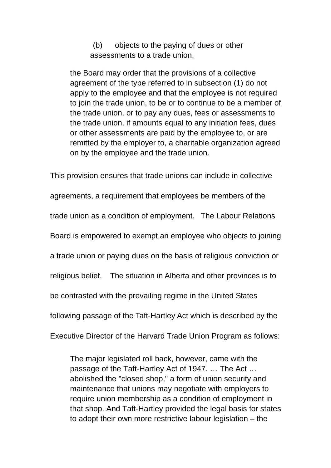(b) objects to the paying of dues or other assessments to a trade union,

the Board may order that the provisions of a collective agreement of the type referred to in subsection (1) do not apply to the employee and that the employee is not required to join the trade union, to be or to continue to be a member of the trade union, or to pay any dues, fees or assessments to the trade union, if amounts equal to any initiation fees, dues or other assessments are paid by the employee to, or are remitted by the employer to, a charitable organization agreed on by the employee and the trade union.

This provision ensures that trade unions can include in collective agreements, a requirement that employees be members of the trade union as a condition of employment. The Labour Relations Board is empowered to exempt an employee who objects to joining a trade union or paying dues on the basis of religious conviction or religious belief. The situation in Alberta and other provinces is to be contrasted with the prevailing regime in the United States following passage of the Taft-Hartley Act which is described by the Executive Director of the Harvard Trade Union Program as follows:

The major legislated roll back, however, came with the passage of the Taft-Hartley Act of 1947. … The Act … abolished the "closed shop," a form of union security and maintenance that unions may negotiate with employers to require union membership as a condition of employment in that shop. And Taft-Hartley provided the legal basis for states to adopt their own more restrictive labour legislation – the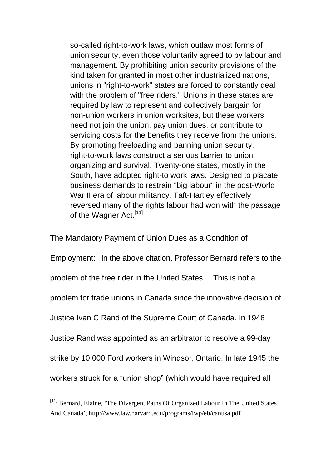so-called right-to-work laws, which outlaw most forms of union security, even those voluntarily agreed to by labour and management. By prohibiting union security provisions of the kind taken for granted in most other industrialized nations, unions in "right-to-work" states are forced to constantly deal with the problem of "free riders." Unions in these states are required by law to represent and collectively bargain for non-union workers in union worksites, but these workers need not join the union, pay union dues, or contribute to servicing costs for the benefits they receive from the unions. By promoting freeloading and banning union security, right-to-work laws construct a serious barrier to union organizing and survival. Twenty-one states, mostly in the South, have adopted right-to work laws. Designed to placate business demands to restrain "big labour" in the post-World War II era of labour militancy, Taft-Hartley effectively reversed many of the rights labour had won with the passage of the Wagner Act.<sup>[11]</sup>

The Mandatory Payment of Union Dues as a Condition of Employment: in the above citation, Professor Bernard refers to the problem of the free rider in the United States. This is not a problem for trade unions in Canada since the innovative decision of Justice Ivan C Rand of the Supreme Court of Canada. In 1946 Justice Rand was appointed as an arbitrator to resolve a 99-day strike by 10,000 Ford workers in Windsor, Ontario. In late 1945 the workers struck for a "union shop" (which would have required all

<sup>[11]</sup> Bernard, Elaine, 'The Divergent Paths Of Organized Labour In The United States And Canada', http://www.law.harvard.edu/programs/lwp/eb/canusa.pdf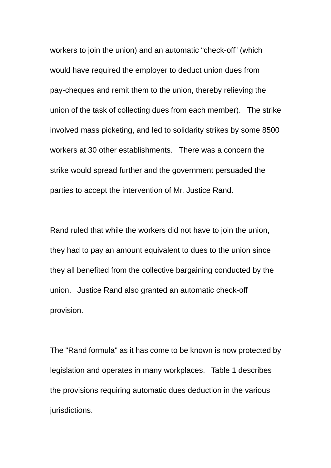workers to join the union) and an automatic "check-off" (which would have required the employer to deduct union dues from pay-cheques and remit them to the union, thereby relieving the union of the task of collecting dues from each member). The strike involved mass picketing, and led to solidarity strikes by some 8500 workers at 30 other establishments. There was a concern the strike would spread further and the government persuaded the parties to accept the intervention of Mr. Justice Rand.

Rand ruled that while the workers did not have to join the union, they had to pay an amount equivalent to dues to the union since they all benefited from the collective bargaining conducted by the union. Justice Rand also granted an automatic check-off provision.

The "Rand formula" as it has come to be known is now protected by legislation and operates in many workplaces. Table 1 describes the provisions requiring automatic dues deduction in the various jurisdictions.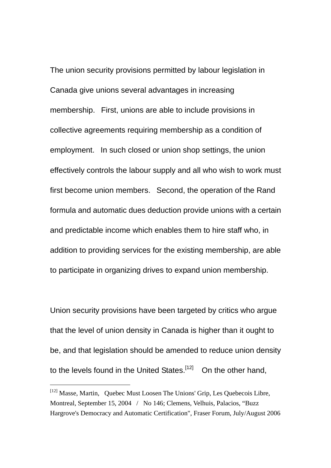The union security provisions permitted by labour legislation in Canada give unions several advantages in increasing membership. First, unions are able to include provisions in collective agreements requiring membership as a condition of employment. In such closed or union shop settings, the union effectively controls the labour supply and all who wish to work must first become union members. Second, the operation of the Rand formula and automatic dues deduction provide unions with a certain and predictable income which enables them to hire staff who, in addition to providing services for the existing membership, are able to participate in organizing drives to expand union membership.

Union security provisions have been targeted by critics who argue that the level of union density in Canada is higher than it ought to be, and that legislation should be amended to reduce union density to the levels found in the United States.<sup>[12]</sup> On the other hand,

<sup>[12]</sup> Masse, Martin, Quebec Must Loosen The Unions' Grip, Les Quebecois Libre, Montreal, September 15, 2004 / No 146; Clemens, Velhuis, Palacios, "Buzz Hargrove's Democracy and Automatic Certification", Fraser Forum, July/August 2006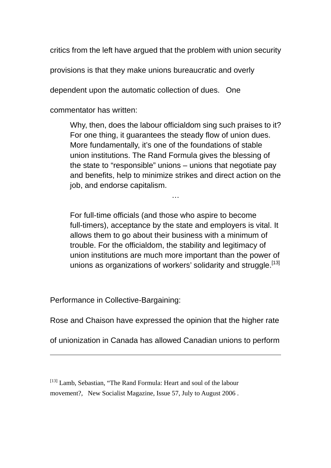critics from the left have argued that the problem with union security

provisions is that they make unions bureaucratic and overly

dependent upon the automatic collection of dues. One

commentator has written:

Why, then, does the labour officialdom sing such praises to it? For one thing, it guarantees the steady flow of union dues. More fundamentally, it's one of the foundations of stable union institutions. The Rand Formula gives the blessing of the state to "responsible" unions – unions that negotiate pay and benefits, help to minimize strikes and direct action on the job, and endorse capitalism.

…

For full-time officials (and those who aspire to become full-timers), acceptance by the state and employers is vital. It allows them to go about their business with a minimum of trouble. For the officialdom, the stability and legitimacy of union institutions are much more important than the power of unions as organizations of workers' solidarity and struggle.<sup>[13]</sup>

Performance in Collective-Bargaining:

 $\overline{a}$ 

Rose and Chaison have expressed the opinion that the higher rate

of unionization in Canada has allowed Canadian unions to perform

[13] Lamb, Sebastian, "The Rand Formula: Heart and soul of the labour movement?, New Socialist Magazine, Issue 57, July to August 2006.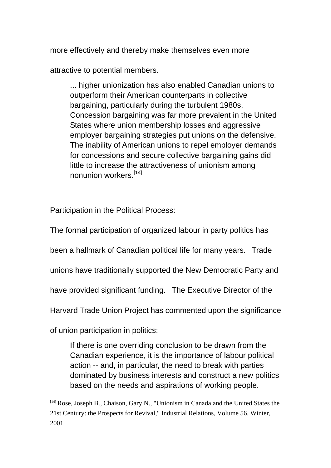more effectively and thereby make themselves even more

attractive to potential members.

... higher unionization has also enabled Canadian unions to outperform their American counterparts in collective bargaining, particularly during the turbulent 1980s. Concession bargaining was far more prevalent in the United States where union membership losses and aggressive employer bargaining strategies put unions on the defensive. The inability of American unions to repel employer demands for concessions and secure collective bargaining gains did little to increase the attractiveness of unionism among nonunion workers.[14]

Participation in the Political Process:

The formal participation of organized labour in party politics has been a hallmark of Canadian political life for many years. Trade unions have traditionally supported the New Democratic Party and have provided significant funding. The Executive Director of the Harvard Trade Union Project has commented upon the significance

of union participation in politics:

 $\overline{a}$ 

If there is one overriding conclusion to be drawn from the Canadian experience, it is the importance of labour political action -- and, in particular, the need to break with parties dominated by business interests and construct a new politics based on the needs and aspirations of working people.

<sup>[14]</sup> Rose, Joseph B., Chaison, Gary N., "Unionism in Canada and the United States the 21st Century: the Prospects for Revival," Industrial Relations, Volume 56, Winter, 2001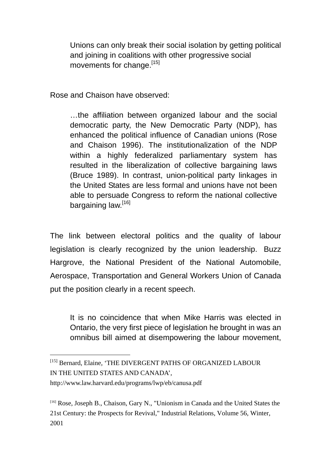Unions can only break their social isolation by getting political and joining in coalitions with other progressive social movements for change.<sup>[15]</sup>

Rose and Chaison have observed:

…the affiliation between organized labour and the social democratic party, the New Democratic Party (NDP), has enhanced the political influence of Canadian unions (Rose and Chaison 1996). The institutionalization of the NDP within a highly federalized parliamentary system has resulted in the liberalization of collective bargaining laws (Bruce 1989). In contrast, union-political party linkages in the United States are less formal and unions have not been able to persuade Congress to reform the national collective bargaining law.<sup>[16]</sup>

The link between electoral politics and the quality of labour legislation is clearly recognized by the union leadership. Buzz Hargrove, the National President of the National Automobile, Aerospace, Transportation and General Workers Union of Canada put the position clearly in a recent speech.

It is no coincidence that when Mike Harris was elected in Ontario, the very first piece of legislation he brought in was an omnibus bill aimed at disempowering the labour movement,

http://www.law.harvard.edu/programs/lwp/eb/canusa.pdf

 $\overline{a}$ 

[16] Rose, Joseph B., Chaison, Gary N., "Unionism in Canada and the United States the 21st Century: the Prospects for Revival," Industrial Relations, Volume 56, Winter, 2001

<sup>[15]</sup> Bernard, Elaine, 'THE DIVERGENT PATHS OF ORGANIZED LABOUR IN THE UNITED STATES AND CANADA',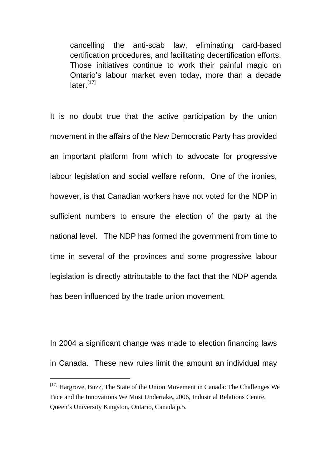cancelling the anti-scab law, eliminating card-based certification procedures, and facilitating decertification efforts. Those initiatives continue to work their painful magic on Ontario's labour market even today, more than a decade later.<sup>[17]</sup>

It is no doubt true that the active participation by the union movement in the affairs of the New Democratic Party has provided an important platform from which to advocate for progressive labour legislation and social welfare reform. One of the ironies, however, is that Canadian workers have not voted for the NDP in sufficient numbers to ensure the election of the party at the national level. The NDP has formed the government from time to time in several of the provinces and some progressive labour legislation is directly attributable to the fact that the NDP agenda has been influenced by the trade union movement.

In 2004 a significant change was made to election financing laws in Canada. These new rules limit the amount an individual may

 $[17]$  Hargrove, Buzz, The State of the Union Movement in Canada: The Challenges We Face and the Innovations We Must Undertake**,** 2006, Industrial Relations Centre, Queen's University Kingston, Ontario, Canada p.5.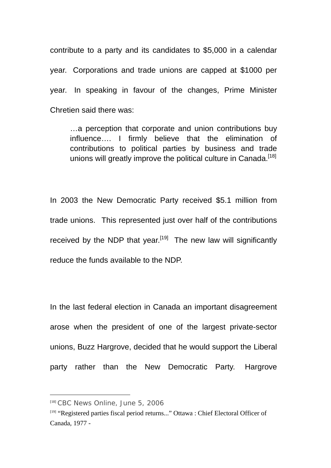contribute to a party and its candidates to \$5,000 in a calendar year. Corporations and trade unions are capped at \$1000 per year. In speaking in favour of the changes, Prime Minister Chretien said there was:

…a perception that corporate and union contributions buy influence…. I firmly believe that the elimination of contributions to political parties by business and trade unions will greatly improve the political culture in Canada.<sup>[18]</sup>

In 2003 the New Democratic Party received \$5.1 million from trade unions. This represented just over half of the contributions received by the NDP that year.<sup>[19]</sup> The new law will significantly reduce the funds available to the NDP.

In the last federal election in Canada an important disagreement arose when the president of one of the largest private-sector unions, Buzz Hargrove, decided that he would support the Liberal party rather than the New Democratic Party. Hargrove

<sup>[18]</sup> CBC News Online, June 5, 2006

<sup>[19] &</sup>quot;Registered parties fiscal period returns..." Ottawa : Chief Electoral Officer of Canada, 1977 -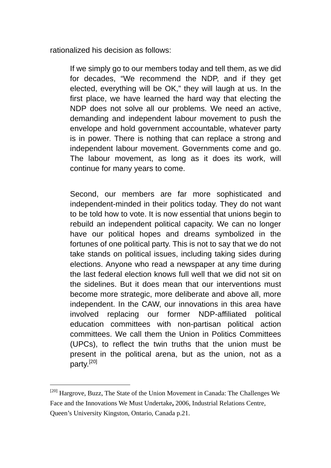rationalized his decision as follows:

If we simply go to our members today and tell them, as we did for decades, "We recommend the NDP, and if they get elected, everything will be OK," they will laugh at us. In the first place, we have learned the hard way that electing the NDP does not solve all our problems. We need an active, demanding and independent labour movement to push the envelope and hold government accountable, whatever party is in power. There is nothing that can replace a strong and independent labour movement. Governments come and go. The labour movement, as long as it does its work, will continue for many years to come.

Second, our members are far more sophisticated and independent-minded in their politics today. They do not want to be told how to vote. It is now essential that unions begin to rebuild an independent political capacity. We can no longer have our political hopes and dreams symbolized in the fortunes of one political party. This is not to say that we do not take stands on political issues, including taking sides during elections. Anyone who read a newspaper at any time during the last federal election knows full well that we did not sit on the sidelines. But it does mean that our interventions must become more strategic, more deliberate and above all, more independent. In the CAW, our innovations in this area have involved replacing our former NDP-affiliated political education committees with non-partisan political action committees. We call them the Union in Politics Committees (UPCs), to reflect the twin truths that the union must be present in the political arena, but as the union, not as a party.[20]

<sup>[20]</sup> Hargrove, Buzz, The State of the Union Movement in Canada: The Challenges We Face and the Innovations We Must Undertake**,** 2006, Industrial Relations Centre, Queen's University Kingston, Ontario, Canada p.21.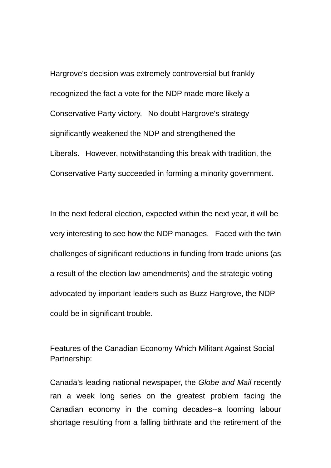Hargrove's decision was extremely controversial but frankly recognized the fact a vote for the NDP made more likely a Conservative Party victory. No doubt Hargrove's strategy significantly weakened the NDP and strengthened the Liberals. However, notwithstanding this break with tradition, the Conservative Party succeeded in forming a minority government.

In the next federal election, expected within the next year, it will be very interesting to see how the NDP manages. Faced with the twin challenges of significant reductions in funding from trade unions (as a result of the election law amendments) and the strategic voting advocated by important leaders such as Buzz Hargrove, the NDP could be in significant trouble.

Features of the Canadian Economy Which Militant Against Social Partnership:

Canada's leading national newspaper, the *Globe and Mail* recently ran a week long series on the greatest problem facing the Canadian economy in the coming decades--a looming labour shortage resulting from a falling birthrate and the retirement of the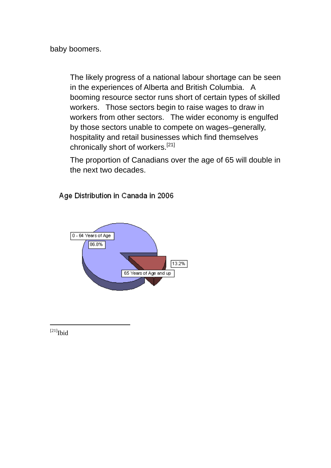baby boomers.

The likely progress of a national labour shortage can be seen in the experiences of Alberta and British Columbia. A booming resource sector runs short of certain types of skilled workers. Those sectors begin to raise wages to draw in workers from other sectors. The wider economy is engulfed by those sectors unable to compete on wages–generally, hospitality and retail businesses which find themselves chronically short of workers.[21]

The proportion of Canadians over the age of 65 will double in the next two decades.

Age Distribution in Canada in 2006



 $[21]$ Ibid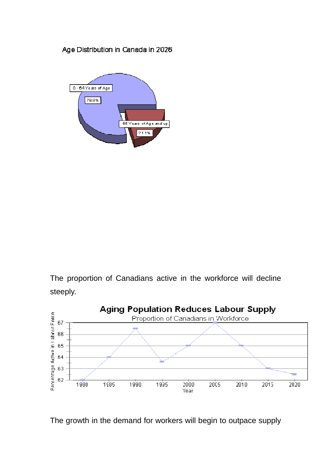# Age Distribution in Canada in 2026



The proportion of Canadians active in the workforce will decline steeply.



The growth in the demand for workers will begin to outpace supply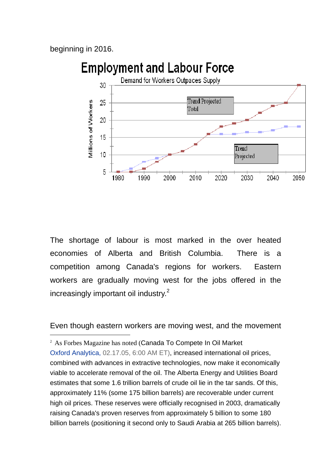beginning in 2016.

 $\overline{a}$ 

# **Employment and Labour Force**



The shortage of labour is most marked in the over heated economies of Alberta and British Columbia. There is a competition among Canada's regions for workers. Eastern workers are gradually moving west for the jobs offered in the increasingly important oil industry.<sup>2</sup>

Even though eastern workers are moving west, and the movement

<sup>2</sup> As Forbes Magazine has noted (Canada To Compete In Oil Market Oxford Analytica, 02.17.05, 6:00 AM ET), increased international oil prices, combined with advances in extractive technologies, now make it economically viable to accelerate removal of the oil. The Alberta Energy and Utilities Board estimates that some 1.6 trillion barrels of crude oil lie in the tar sands. Of this, approximately 11% (some 175 billion barrels) are recoverable under current high oil prices. These reserves were officially recognised in 2003, dramatically raising Canada's proven reserves from approximately 5 billion to some 180 billion barrels (positioning it second only to Saudi Arabia at 265 billion barrels).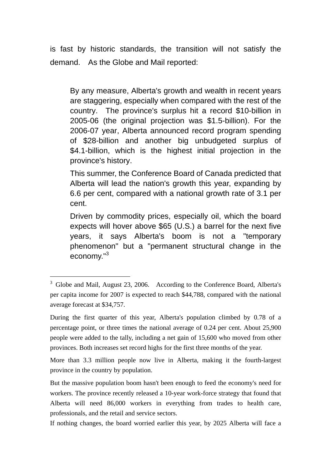is fast by historic standards, the transition will not satisfy the demand. As the Globe and Mail reported:

By any measure, Alberta's growth and wealth in recent years are staggering, especially when compared with the rest of the country. The province's surplus hit a record \$10-billion in 2005-06 (the original projection was \$1.5-billion). For the 2006-07 year, Alberta announced record program spending of \$28-billion and another big unbudgeted surplus of \$4.1-billion, which is the highest initial projection in the province's history.

This summer, the Conference Board of Canada predicted that Alberta will lead the nation's growth this year, expanding by 6.6 per cent, compared with a national growth rate of 3.1 per cent.

Driven by commodity prices, especially oil, which the board expects will hover above \$65 (U.S.) a barrel for the next five years, it says Alberta's boom is not a "temporary phenomenon" but a "permanent structural change in the economy."<sup>3</sup>

<sup>&</sup>lt;sup>3</sup> Globe and Mail, August 23, 2006. According to the Conference Board, Alberta's per capita income for 2007 is expected to reach \$44,788, compared with the national average forecast at \$34,757.

During the first quarter of this year, Alberta's population climbed by 0.78 of a percentage point, or three times the national average of 0.24 per cent. About 25,900 people were added to the tally, including a net gain of 15,600 who moved from other provinces. Both increases set record highs for the first three months of the year.

More than 3.3 million people now live in Alberta, making it the fourth-largest province in the country by population.

But the massive population boom hasn't been enough to feed the economy's need for workers. The province recently released a 10-year work-force strategy that found that Alberta will need 86,000 workers in everything from trades to health care, professionals, and the retail and service sectors.

If nothing changes, the board worried earlier this year, by 2025 Alberta will face a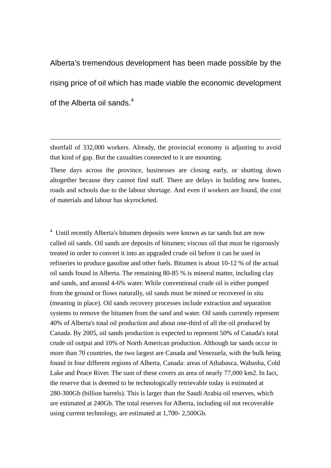Alberta's tremendous development has been made possible by the rising price of oil which has made viable the economic development of the Alberta oil sands  $4$ 

shortfall of 332,000 workers. Already, the provincial economy is adjusting to avoid that kind of gap. But the casualties connected to it are mounting.

 $\overline{a}$ 

These days across the province, businesses are closing early, or shutting down altogether because they cannot find staff. There are delays in building new homes, roads and schools due to the labour shortage. And even if workers are found, the cost of materials and labour has skyrocketed.

<sup>4</sup> Until recently Alberta's bitumen deposits were known as tar sands but are now called oil sands. Oil sands are deposits of bitumen; viscous oil that must be rigorously treated in order to convert it into an upgraded crude oil before it can be used in refineries to produce gasoline and other fuels. Bitumen is about 10-12 % of the actual oil sands found in Alberta. The remaining 80-85 % is mineral matter, including clay and sands, and around 4-6% water. While conventional crude oil is either pumped from the ground or flows naturally, oil sands must be mined or recovered in situ (meaning in place). Oil sands recovery processes include extraction and separation systems to remove the bitumen from the sand and water. Oil sands currently represent 40% of Alberta's total oil production and about one-third of all the oil produced by Canada. By 2005, oil sands production is expected to represent 50% of Canada's total crude oil output and 10% of North American production. Although tar sands occur in more than 70 countries, the two largest are Canada and Venezuela, with the bulk being found in four different regions of Alberta, Canada: areas of Athabasca, Wabasha, Cold Lake and Peace River. The sum of these covers an area of nearly 77,000 km2. In fact, the reserve that is deemed to be technologically retrievable today is estimated at 280-300Gb (billion barrels). This is larger than the Saudi Arabia oil reserves, which are estimated at 240Gb. The total reserves for Alberta, including oil not recoverable using current technology, are estimated at 1,700- 2,500Gb.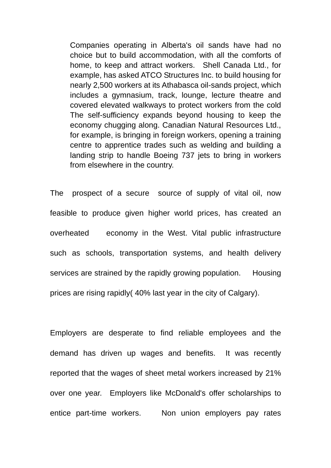Companies operating in Alberta's oil sands have had no choice but to build accommodation, with all the comforts of home, to keep and attract workers. Shell Canada Ltd., for example, has asked ATCO Structures Inc. to build housing for nearly 2,500 workers at its Athabasca oil-sands project, which includes a gymnasium, track, lounge, lecture theatre and covered elevated walkways to protect workers from the cold The self-sufficiency expands beyond housing to keep the economy chugging along. Canadian Natural Resources Ltd., for example, is bringing in foreign workers, opening a training centre to apprentice trades such as welding and building a landing strip to handle Boeing 737 jets to bring in workers from elsewhere in the country.

The prospect of a secure source of supply of vital oil, now feasible to produce given higher world prices, has created an overheated economy in the West. Vital public infrastructure such as schools, transportation systems, and health delivery services are strained by the rapidly growing population. Housing prices are rising rapidly( 40% last year in the city of Calgary).

Employers are desperate to find reliable employees and the demand has driven up wages and benefits. It was recently reported that the wages of sheet metal workers increased by 21% over one year. Employers like McDonald's offer scholarships to entice part-time workers. Non union employers pay rates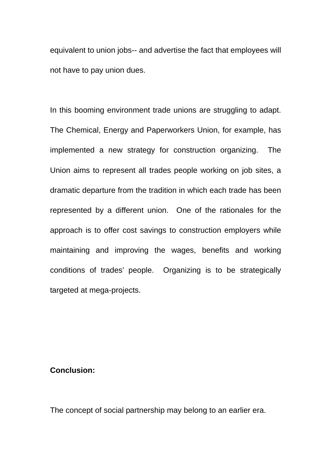equivalent to union jobs-- and advertise the fact that employees will not have to pay union dues.

In this booming environment trade unions are struggling to adapt. The Chemical, Energy and Paperworkers Union, for example, has implemented a new strategy for construction organizing. The Union aims to represent all trades people working on job sites, a dramatic departure from the tradition in which each trade has been represented by a different union. One of the rationales for the approach is to offer cost savings to construction employers while maintaining and improving the wages, benefits and working conditions of trades' people. Organizing is to be strategically targeted at mega-projects.

## **Conclusion:**

The concept of social partnership may belong to an earlier era.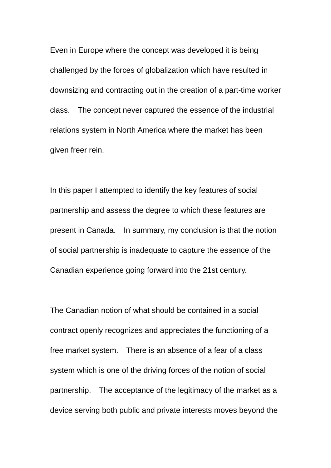Even in Europe where the concept was developed it is being challenged by the forces of globalization which have resulted in downsizing and contracting out in the creation of a part-time worker class. The concept never captured the essence of the industrial relations system in North America where the market has been given freer rein.

In this paper I attempted to identify the key features of social partnership and assess the degree to which these features are present in Canada. In summary, my conclusion is that the notion of social partnership is inadequate to capture the essence of the Canadian experience going forward into the 21st century.

The Canadian notion of what should be contained in a social contract openly recognizes and appreciates the functioning of a free market system. There is an absence of a fear of a class system which is one of the driving forces of the notion of social partnership. The acceptance of the legitimacy of the market as a device serving both public and private interests moves beyond the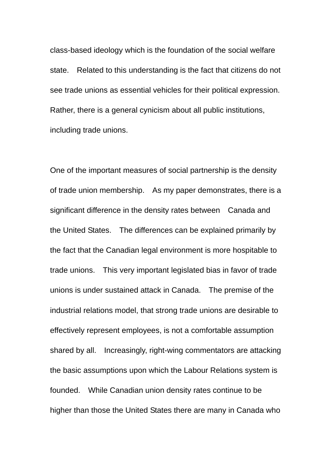class-based ideology which is the foundation of the social welfare state. Related to this understanding is the fact that citizens do not see trade unions as essential vehicles for their political expression. Rather, there is a general cynicism about all public institutions, including trade unions.

One of the important measures of social partnership is the density of trade union membership. As my paper demonstrates, there is a significant difference in the density rates between Canada and the United States. The differences can be explained primarily by the fact that the Canadian legal environment is more hospitable to trade unions. This very important legislated bias in favor of trade unions is under sustained attack in Canada. The premise of the industrial relations model, that strong trade unions are desirable to effectively represent employees, is not a comfortable assumption shared by all. Increasingly, right-wing commentators are attacking the basic assumptions upon which the Labour Relations system is founded. While Canadian union density rates continue to be higher than those the United States there are many in Canada who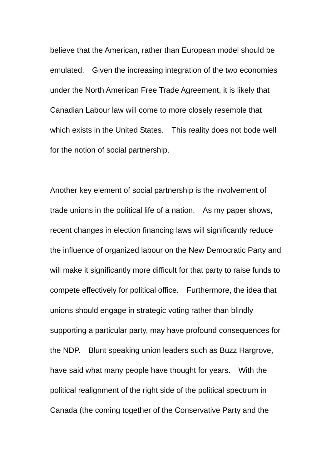believe that the American, rather than European model should be emulated. Given the increasing integration of the two economies under the North American Free Trade Agreement, it is likely that Canadian Labour law will come to more closely resemble that which exists in the United States. This reality does not bode well for the notion of social partnership.

Another key element of social partnership is the involvement of trade unions in the political life of a nation. As my paper shows, recent changes in election financing laws will significantly reduce the influence of organized labour on the New Democratic Party and will make it significantly more difficult for that party to raise funds to compete effectively for political office. Furthermore, the idea that unions should engage in strategic voting rather than blindly supporting a particular party, may have profound consequences for the NDP. Blunt speaking union leaders such as Buzz Hargrove, have said what many people have thought for years. With the political realignment of the right side of the political spectrum in Canada (the coming together of the Conservative Party and the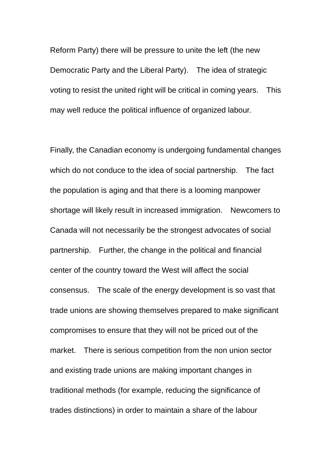Reform Party) there will be pressure to unite the left (the new Democratic Party and the Liberal Party). The idea of strategic voting to resist the united right will be critical in coming years. This may well reduce the political influence of organized labour.

Finally, the Canadian economy is undergoing fundamental changes which do not conduce to the idea of social partnership. The fact the population is aging and that there is a looming manpower shortage will likely result in increased immigration. Newcomers to Canada will not necessarily be the strongest advocates of social partnership. Further, the change in the political and financial center of the country toward the West will affect the social consensus. The scale of the energy development is so vast that trade unions are showing themselves prepared to make significant compromises to ensure that they will not be priced out of the market. There is serious competition from the non union sector and existing trade unions are making important changes in traditional methods (for example, reducing the significance of trades distinctions) in order to maintain a share of the labour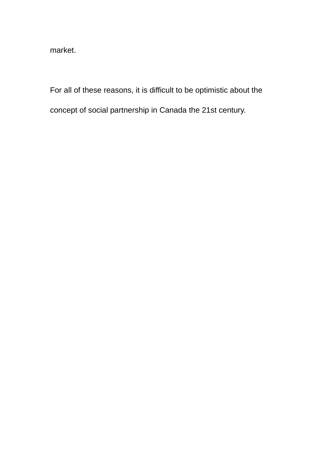market.

For all of these reasons, it is difficult to be optimistic about the

concept of social partnership in Canada the 21st century.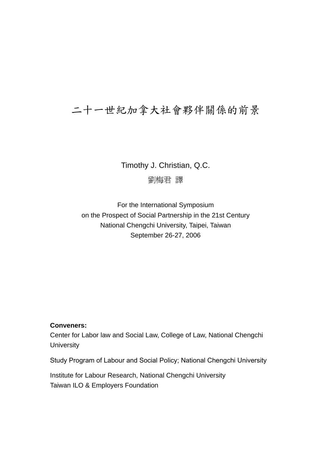# 二十一世紀加拿大社會夥伴關係的前景

Timothy J. Christian, Q.C. 劉梅君 譯

For the International Symposium on the Prospect of Social Partnership in the 21st Century National Chengchi University, Taipei, Taiwan September 26-27, 2006

### **Conveners:**

Center for Labor law and Social Law, College of Law, National Chengchi **University** 

Study Program of Labour and Social Policy; National Chengchi University

Institute for Labour Research, National Chengchi University Taiwan ILO & Employers Foundation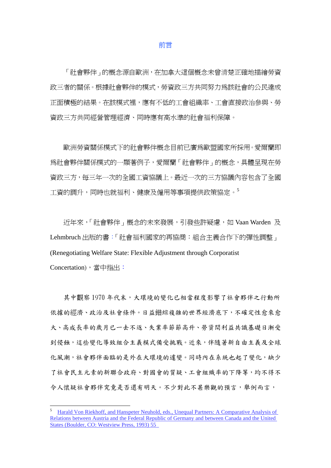#### 前言

 「社會夥伴」的概念源自歐洲,在加拿大這個概念未曾清楚正確地描繪勞資 政三者的關係。根據社會夥伴的模式,勞資政三方共同努力為該社會的公民達成 正面積極的結果。在該模式裡,應有不低的工會組織率、工會直接政治參與、勞 資政三方共同經營管理經濟、同時應有高水準的社會福利保障。

 歐洲勞資關係模式下的社會夥伴概念目前已廣為歐盟國家所採用。愛爾蘭即 為社會夥伴關係模式的一顯著例子,愛爾蘭「社會夥伴」的概念,具體呈現在勞 資政三方,每三年一次的全國工資協議上。最近一次的三方協議內容包含了全國 工資的調升,同時也就福利、健康及僱用等事項提供政策協定。5

 近年來,「社會夥伴」概念的未來發展,引發些許疑慮,如 Vaan Warden 及 Lehmbruch 出版的書:「社會福利國家的再協商:組合主義合作下的彈性調整」 (Renegotiating Welfare State: Flexible Adjustment through Corporatist Concertation),當中指出:

其中觀察 1970 年代末,大環境的變化已相當程度影響了社會夥伴之行動所 依據的經濟、政治及社會條件。日益錯綜複雜的世界經濟底下,不確定性愈來愈 大、高成長率的歲月已一去不返、失業率節節高升、勞資間利益共識基礎日漸受 到侵蝕,這些變化導致組合主義模式備受挑戰。近來,伴隨著新自由主義及全球 化風潮,社會夥伴面臨的是外在大環境的遽變。同時內在系統也起了變化,缺少 了社會民主元素的新聯合政府、對國會的質疑、工會組織率的下降等,均不得不 今人懷疑社會夥伴究竟是否還有明天。不少對此不甚樂觀的預言,舉例而言,

<sup>5</sup> Harald Von Riekhoff, and Hanspeter Neuhold, eds., Unequal Partners: A Comparative Analysis of Relations between Austria and the Federal Republic of Germany and between Canada and the United States (Boulder, CO: Westview Press, 1993) 55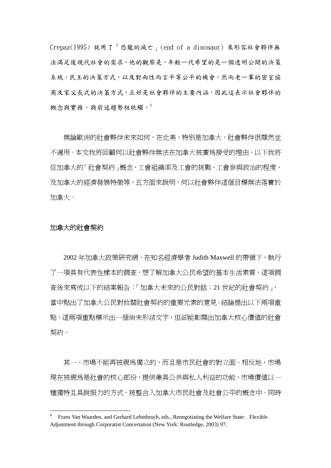Crepaz(1995) 就用了「恐龍的滅亡」(end of a dinosaur) 來形容社會夥伴無 法滿足後現代社會的需求,他的觀察是,年輕一代希望的是一個透明公開的決策 系統,民主的決策方式,以及對兩性而言平等公平的機會。然而老一輩的密室協 商及家父長式的決策方式,正好是社會夥伴的主要內涵,因此這表示社會夥伴的 概念與實務,與前述趨勢相牴觸。

無論歐洲的社會夥伴未來如何,在北美,特別是加拿大,社會夥伴很顯然並 不適用。本文我將回顧何以社會夥伴無法在加拿大被廣為接受的理由。以下我將 從加拿大的「社會契約」概念、工會組織率及工會的挑戰、工會參與政治的程度、 及加拿大的經濟發展特徵等,五方面來說明,何以社會夥伴這個目標無法落實於 加拿大。

#### 加拿大的社會契約

 $\overline{a}$ 

 2002 年加拿大政策研究網,在知名經濟學者 Judith Maxwell 的帶領下,執行 了一項具有代表性樣本的調查,想了解加拿大公民希望的基本生活素質,這項調 查後來寫成以下的結案報告:「加拿大未來的公民對話:21 世紀的社會契約」, 當中點出了加拿大公民對攸關社會契約的重要元素的意見。結論提出以下兩項重 點,這兩項重點標示出一個尚未形諸文字,但卻能彰顯出加拿大核心價值的社會 契約。

其一、市場不能再被視為獨立的,而且是市民社會的對立面。相反地,市場 現在被視為是社會的核心部份,提供兼具公共與私人利益的功能,市場價值以一 種獨特且具說服力的方式,被整合入加拿大市民社會及社會公平的概念中。同時

<sup>6</sup> Frans Van Waarden, and Gerhard Lehmbruch, eds., Renegotiating the Welfare State: Flexible Adjustment through Corporatist Concertation (New York: Routledge, 2003) 97.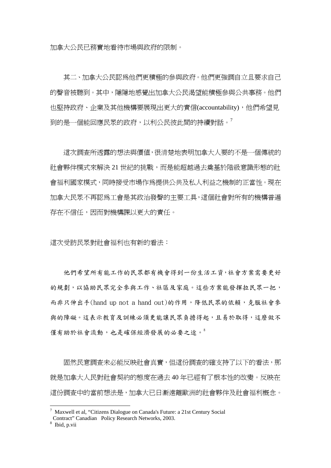加拿大公民已務實地看待市場與政府的限制。

 其二、加拿大公民認為他們更積極的參與政府。他們更強調自立且要求自己 的聲音被聽到。其中,隱隱地感覺出加拿大公民渴望能積極參與公共事務。他們 也堅持政府、企業及其他機構要展現出更大的責信(accountability),他們希望見 到的是一個能回應民眾的政府,以利公民彼此間的持續對話。<sup>7</sup>

 這次調查所透露的想法與價值,很清楚地表明加拿大人要的不是一個傳統的 社會夥伴模式來解決 21 世紀的挑戰,而是能超越過去奠基於階級意識形態的社 會福利國家模式,同時接受市場作為提供公共及私人利益之機制的正當性。現在 加拿大民眾不再認為工會是其政治發聲的主要工具,這個社會對所有的機構普遍 存在不信任,因而對機構課以更大的責任。

這次受訪民眾對社會福利也有新的看法:

 他們希望所有能工作的民眾都有機會得到一份生活工資,社會方案需要更好 的規劃,以協助民眾完全參與工作、社區及家庭。這些方案能發揮拉民眾一把, 而非只伸出手(hand up not a hand out)的作用,降低民眾的依賴,克服社會參 與的障礙。這表示教育及訓練必須更能讓民眾負擔得起,且易於取得,這麼做不 僅有助於社會流動,也是確保經濟發展的必要之途。8

固然民意調查未必能反映社會真實,但這份調查的確支持了以下的看法,那 就是加拿大人民對社會契約的態度在過去 40 年已經有了根本性的改變。反映在 這份調查中的當前想法是,加拿大已日漸遠離歐洲的社會夥伴及社會福利概念。

<sup>&</sup>lt;sup>7</sup> Maxwell et al, "Citizens Dialogue on Canada's Future: a 21st Century Social Contract" Canadian Policy Research Networks, 2003.

<sup>8</sup> Ibid, p.vii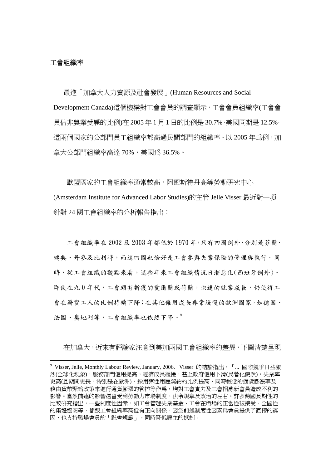#### 工會組織率

 $\overline{a}$ 

 最進「加拿大人力資源及社會發展」(Human Resources and Social Development Canada)這個機構對工會會員的調查顯示,工會會員組織率(工會會 員佔非農業受雇的比例)在 2005 年 1 月 1 日的比例是 30.7%,美國同期是 12.5%。 這兩個國家的公部門員工組織率都高過民間部門的組織率。以 2005 年為例,加 拿大公部門組織率高達 70%,美國為 36.5%。

 歐盟國家的工會組織率通常較高,阿姆斯特丹高等勞動研究中心 (Amsterdam Institute for Advanced Labor Studies)的主管 Jelle Visser 最近對一項 針對 24 國工會組織率的分析報告指出:

 工會組織率在 2002 及 2003 年都低於 1970 年,只有四國例外,分別是芬蘭、 瑞典、丹麥及比利時,而這四國也恰好是工會參與失業保險的管理與執行。同 時,從工會組織的觀點來看,這些年來工會組織情況日漸惡化(西班牙例外)。 即使在九 0 年代,工會頗有斬獲的愛爾蘭或荷蘭,快速的就業成長,仍使得工 會在薪資工人的比例持續下降;在其他僱用成長非常緩慢的歐洲國家,如德國、 法國、奧地利等,工會組織率也依然下降。

在加拿大,近來有評論家注意到美加兩國工會組織率的差異,下圖清楚呈現

<sup>&</sup>lt;sup>9</sup> Visser, Jelle, <u>Monthly Labour Review</u>, January, 2006. Visser 的結論指出, 「... 國際競爭日益激 烈(全球化現象),服務部門僱用提高,經濟成長緩慢,甚至政府僱用下滑(民營化使然),失業率 更高(且期間更長,特別是在歐洲),採用彈性用雇契約的比例提高,同時較低的通貨膨漲率及 藉由貨幣緊縮政策來進行通貨膨漲的管控等作為,均對工會實力及工會招募新會員造成不利的 影響。當然前述的影響還會受到勞動力市場制度、法令規章及政治的左右。許多跨國長期性的 比較研究指出,一些制度性因素,如工會管理失業基金、工會在職場的正當性被接受、全國性 的集體協商等,都跟工會組織率高低有正向關係,因為前述制度性因素為會員提供了直接的誘 因,也支持職場會員的「社會規範」,同時降低雇主的抵制。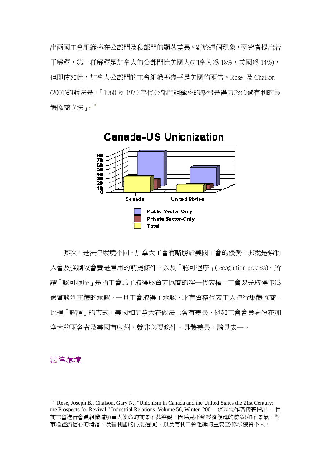出兩國工會組織率在公部門及私部門的顯著差異。對於這個現象,研究者提出若 干解釋,第一種解釋是加拿大的公部門比美國大(加拿大為 18%,美國為 14%), 但即使如此,加拿大公部門的工會組織率幾乎是美國的兩倍。Rose 及 Chaison (2001)的說法是,「1960 及 1970 年代公部門組織率的暴漲是得力於通過有利的集 體協商立法」。10



 其次,是法律環境不同。加拿大工會有略勝於美國工會的優勢,那就是強制 入會及強制收會費是雇用的前提條件,以及「認可程序」(recognition process)。所 謂「認可程序」是指工會為了取得與資方協商的唯一代表權,工會要先取得作為 適當談判主體的承認,一旦工會取得了承認,才有資格代表工人進行集體協商。 此種「認證」的方式,美國和加拿大在做法上各有差異,例如工會會員身份在加 拿大的兩各省及美國有些州,就非必要條件。具體差異,請見表一。

#### 法律環境

<sup>&</sup>lt;sup>10</sup> Rose, Joseph B., Chaison, Gary N., "Unionism in Canada and the United States the 21st Century: the Prospects for Revival," Industrial Relations, Volume 56, Winter, 2001. 這兩位作者接著指出「「目 前工會進行會員組織這項重大使命的前景不甚樂觀,因為見不到經濟復甦的跡象(如不景氣、對 市場經濟信心的滑落,及福利國的再度抬頭)、以及有利工會組織的主要立/修法機會不大。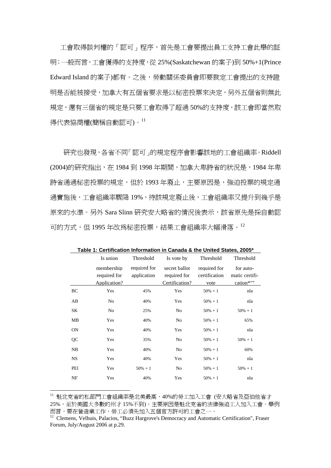工會取得談判權的「認可」程序,首先是工會要提出員工支持工會此舉的証 明;一般而言,工會獲得的支持度,從 25%(Saskatchewan 的案子)到 50%+1(Prince Edward Island 的案子)都有。之後,勞動關係委員會即要裁定工會提出的支持證 明是否能被接受,加拿大有五個省要求是以秘密投票來決定,另外五個省則無此 規定,還有三個省的規定是只要工會取得了超過 50%的支持度,該工會即當然取 得代表協商權(簡稱自動認可)。<sup>11</sup>

 研究也發現,各省不同「認可」的規定程序會影響該地的工會組織率。Riddell (2004)的研究指出, 在 1984 到 1998 年期間, 加拿大卑詩省的狀況是, 1984 年卑 詩省涌過秘密投票的規定,但於 1993 年廢止,主要原因是,確迫投票的規定通 過實施後,工會組織率驟降 19%,待該規定廢止後,工會組織率又提升到幾乎是 原來的水準。另外 Sara Slinn 研究安大略省的情況後表示,該省原先是採自動認 可的方式,但 1995年改為秘密投票,結果工會組織率大幅滑落。12

|           | Is union                                   | Threshold                   | Is vote by                                      | Threshold                             | Threshold                                |
|-----------|--------------------------------------------|-----------------------------|-------------------------------------------------|---------------------------------------|------------------------------------------|
|           | membership<br>required for<br>Application? | required for<br>application | secret ballot<br>required for<br>Certification? | required for<br>certification<br>vote | for auto-<br>matic certifi-<br>cation*"" |
| BC        | Yes                                        | 45%                         | Yes                                             | $50\% + 1$                            | nla                                      |
| AB        | No                                         | 40%                         | Yes                                             | $50\% + 1$                            | nla                                      |
| SΚ        | No                                         | 25%                         | No                                              | $50\% + 1$                            | $50\% + 1$                               |
| MВ        | Yes                                        | 40%                         | No                                              | $50% + 1$                             | 65%                                      |
| <b>ON</b> | Yes                                        | 40%                         | Yes                                             | $50\% + 1$                            | nla                                      |
| QC        | Yes                                        | 35%                         | No                                              | $50\% + 1$                            | $50\% + 1$                               |
| NB        | Yes                                        | 40%                         | No                                              | $50\% + 1$                            | 60%                                      |
| NS        | Yes                                        | 40%                         | Yes                                             | $50\% + 1$                            | nla                                      |
| PEI       | Yes                                        | $50\% + 1$                  | No                                              | $50\% + 1$                            | $50\% + 1$                               |
| NF        | Yes                                        | 40%                         | Yes                                             | $50\% + 1$                            | nla                                      |

**Table 1: Certification Information in Canada & the United States, 2005\*** 

<sup>11</sup> 魁北克省的私部門工會組織率是北美最高,40%的勞工加入工會 (安大略省及亞伯他省才 25%,至於美國大多數的州才 15%不到)。主要原因是魁北克省的法律強迫工人加入工會。舉例 而言,要在營造業工作,勞工必須先加入五個官方許可的工會之一。

<sup>&</sup>lt;sup>12</sup> Clemens, Velhuis, Palacios, "Buzz Hargrove's Democracy and Automatic Certification", Fraser Forum, July/August 2006 at p.29.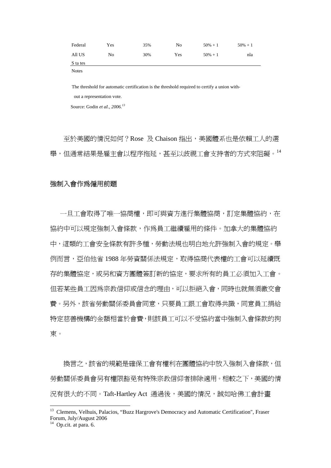| Federal  | Yes | 35% | No  | $50\% + 1$ | $50\% + 1$ |
|----------|-----|-----|-----|------------|------------|
| All US   | No  | 30% | Yes | $50\% + 1$ | nla        |
| S ta tes |     |     |     |            |            |

Notes

The threshold for automatic certification is the threshold required to certify a union without a representation vote.

Source: Godin *et aI., 2006.13* 

至於美國的情況如何?Rose 及 Chaison 指出, 美國體系也是依賴工人的選 舉,但通常結果是雇主會以程序拖延,甚至以歧視工會支持者的方式來阻礙。<sup>14</sup>

#### 強制入會作為僱用前題

一旦工會取得了唯一協商權,即可與資方進行集體協商,訂定集體協約,在 協約中可以規定強制入會條款,作為員工繼續雇用的條件。加拿大的集體協約 中,這類的工會安全條款有許多種,勞動法規也明白地允許強制入會的規定。舉 例而言,亞伯他省 1988 年勞資關係法規定,取得協商代表權的工會可以延續既 存的集體協定,或另和資方團體簽訂新的協定,要求所有的員工必須加入工會。 但若某些員工因為宗教信仰或信念的理由,可以拒絕入會,同時也就無須繳交會 費。另外,該省勞動關係委員會同意,只要員工跟工會取得共識,同意員工捐給 特定慈善機構的金額相當於會費,則該員工可以不受協約當中強制入會條款的拘 束。

換言之,該省的規範是確保工會有權利在團體協約中放入強制入會條款,但 勞動關係委員會另有權限豁免有特殊宗教信仰者排除適用。相較之下,美國的情 況有很大的不同。Taft-Hartley Act 通過後,美國的情況,誠如哈佛工會計畫

<sup>&</sup>lt;sup>13</sup> Clemens, Velhuis, Palacios, "Buzz Hargrove's Democracy and Automatic Certification", Fraser Forum, July/August 2006

<sup>&</sup>lt;sup>14</sup> Op.cit. at para. 6.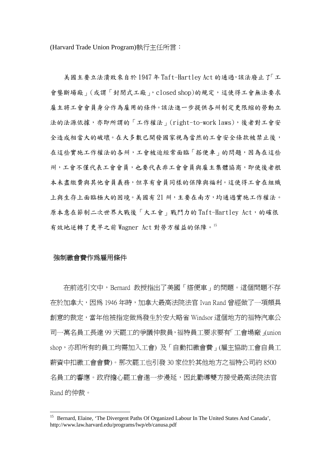(Harvard Trade Union Program)執行主任所言:

 美國主要立法潰敗來自於 1947 年 Taft-Hartley Act 的通過,該法廢止了「工 會壟斷場廠」(或謂「封閉式工廠」, closed shop)的規定,這使得工會無法要求 雇主將工會會員身分作為雇用的條件。該法進一步提供各州制定更限縮的勞動立 法的法源依據,亦即所謂的「工作權法」(right-to-work laws),後者對工會安 全造成相當大的破壞。在大多數已開發國家視為當然的工會安全條款被禁止後, 在這些實施工作權法的各州,工會被迫經常面臨「搭便車」的問題,因為在這些 州,工會不僅代表工會會員,也要代表非工會會員與雇主集體協商,即使後者根 本未盡繳費與其他會員義務,但享有會員同樣的保障與福利。這使得工會在組織 上與生存上面臨極大的困境。美國有 21 州,主要在南方,均通過實施工作權法。 原本意在節制二次世界大戰後「大工會」戰鬥力的 Taft-Hartley Act,的確很 有效地逆轉了更早之前 Wagner Act 對勞方權益的保障。15

#### 強制繳會費作為雇用條件

 $\overline{a}$ 

 在前述引文中,Bernard 教授指出了美國「搭便車」的問題。這個問題不存 在於加拿大,因為 1946 年時,加拿大最高法院法官 Ivan Rand 曾經做了一項頗具 創意的裁定,當年他被指定做為發生於安大略省 Windsor 這個地方的福特汽車公 司一萬名員工長達 99 天罷工的爭議仲裁員,福特員工要求要有「工會場廠」(union shop,亦即所有的員工均需加入工會) 及「自動扣繳會費」(雇主協助工會自員工 薪資中扣繳工會會費)。那次罷工也引發 30 家位於其他地方之福特公司約 8500 名員工的響應。政府擔心罷工會進一步漫延,因此勸導雙方接受最高法院法官 Rand 的仲裁。

<sup>&</sup>lt;sup>15</sup> Bernard, Elaine, 'The Divergent Paths Of Organized Labour In The United States And Canada', http://www.law.harvard.edu/programs/lwp/eb/canusa.pdf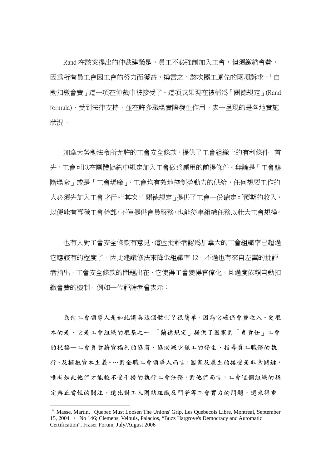Rand 在該案提出的仲裁建議是,員工不必強制加入工會,但須繳納會費, 因為所有員工會因工會的努力而獲益,換言之,該次罷工原先的兩項訴求,「自 動扣繳會費」這一項在仲裁中被接受了。這項成果現在被稱為「蘭德規定」(Rand formula),受到法律支持,並在許多職場實際發生作用。表一呈現的是各地實施 狀況。

 加拿大勞動法令所允許的工會安全條款,提供了工會組織上的有利條件。首 先,工會可以在團體協約中規定加入工會做為雇用的前提條件。無論是「工會壟 斷場廠」或是「工會場廠」,工會均有效地控制勞動力的供給,任何想要工作的 人必須先加入工會才行。16其次,「蘭德規定」提供了工會一份確定可預期的收入, 以便能有專職工會幹部,不僅提供會員服務,也能從事組織任務以壯大工會規模。

 也有人對工會安全條款有意見,這些批評者認為加拿大的工會組織率已超過 它應該有的程度了,因此建議修法來降低組織率 12。不過也有來自左翼的批評 者指出,工會安全條款的問題出在,它使得工會變得官僚化,且過度依賴自動扣 繳會費的機制。例如一位評論者曾表示:

 為何工會領導人是如此讚美這個體制?很簡單,因為它確保會費收入。更根 本的是,它是工會組織的根基之一。「蘭德規定」提供了國家對「負責任」工會 的祝福—工會負責薪資福利的協商、協助減少罷工的發生、指導員工職務的執 行、及擁抱資本主義。⋯對全職工會領導人而言,國家及雇主的接受是非常關鍵, 唯有如此他們才能較不受干擾的執行工會任務,對他們而言,工會這個組織的穩 定與正當性的關注,遠比對工人團結組織及鬥爭等工會實力的問題,還來得重

<sup>&</sup>lt;sup>16</sup> Masse, Martin, Quebec Must Loosen The Unions' Grip, Les Quebecois Libre, Montreal, September 15, 2004 / No 146; Clemens, Velhuis, Palacios, "Buzz Hargrove's Democracy and Automatic Certification", Fraser Forum, July/August 2006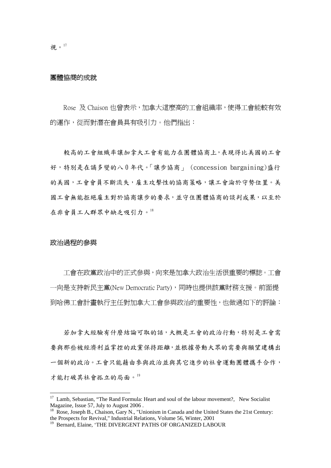#### 團體協商的成就

Rose 及 Chaison 也曾表示,加拿大這麼高的工會組織率,使得工會能較有效 的運作,從而對潛在會員具有吸引力。他們指出:

 較高的工會組織率讓加拿大工會有能力在團體協商上,表現得比美國的工會 好,特別是在譎多變的八 0 年代。「讓步協商」 (concession bargaining)盛行 的美國,工會會員不斷流失,雇主攻擊性的協商策略,讓工會淪於守勢位置。美 國工會無能拒絕雇主對於協商讓步的要求,並守住團體協商的談判成果,以至於 在非會員工人群眾中缺乏吸引力。18

#### 政治過程的參與

 $\overline{a}$ 

 工會在政黨政治中的正式參與,向來是加拿大政治生活很重要的標誌。工會 一向是支持新民主黨(New Democratic Party),同時也提供該黨財務支援。前面提 到哈佛工會計畫執行主任對加拿大工會參與政治的重要性,也做過如下的評論:

 若加拿大經驗有什麼結論可取的話,大概是工會的政治行動,特別是工會需 要與那些被經濟利益掌控的政黨保持距離,並根據勞動大眾的需要與願望建構出 一個新的政治。工會只能藉由參與政治並與其它進步的社會運動團體攜手合作, 才能打破其社會孤立的局面。19

 $17$  Lamb, Sebastian, "The Rand Formula: Heart and soul of the labour movement?, New Socialist Magazine, Issue 57, July to August 2006 .

<sup>&</sup>lt;sup>18</sup> Rose, Joseph B., Chaison, Gary N., "Unionism in Canada and the United States the 21st Century: the Prospects for Revival," Industrial Relations, Volume 56, Winter, 2001

<sup>&</sup>lt;sup>19</sup> Bernard, Elaine, 'THE DIVERGENT PATHS OF ORGANIZED LABOUR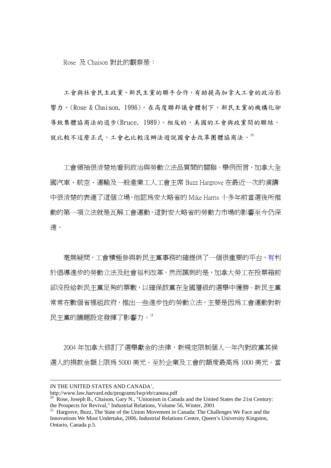Rose 及 Chaison 對此的觀察是:

 工會與社會民主政黨、新民主黨的聯手合作,有助提高加拿大工會的政治影 響力。(Rose & Chaison, 1996)。在高度聯邦議會體制下,新民主黨的機構化卻 導致集體協商法的退步(Bruce, 1989)。相反的,美國的工會與政黨間的聯結, 就比較不這麼正式,工會也比較沒辦法遊說國會去改革團體協商法。20

 工會領袖很清楚地看到政治與勞動立法品質間的關聯。舉例而言,加拿大全 國汽車、航空、運輸及一般產業工人工會主席 Buzz Hargrove 在最近一次的演講 中很清楚的表達了這個立場,他認為安大略省的 Mike Harris 十多年前當選後所推 動的第一項立法就是瓦解工會運動,這對安大略省的勞動力市場的影響至今仍深 遠。

 毫無疑問,工會積極參與新民主黨事務的確提供了一個很重要的平台,有利 於倡導進步的勞動立法及社會福利改革。然而諷刺的是,加拿大勞工在投票箱前 卻沒投給新民主黨足夠的票數,以確保該黨在全國層級的選舉中獲勝。新民主黨 常常在數個省裡組政府,推出一些進步性的勞動立法,主要是因為工會運動對新 民主黨的議題設定發揮了影響力。21

 2004 年加拿大修訂了選舉獻金的法律,新規定限制個人一年內對政黨其候 選人的捐款金額上限為 5000 美元。至於企業及工會的額度最高為 1000 美元。當

IN THE UNITED STATES AND CANADA',<br>http://www.law.harvard.edu/programs/lwp/eb/canusa.pdf

<sup>&</sup>lt;sup>20</sup> Rose, Joseph B., Chaison, Gary N., "Unionism in Canada and the United States the 21st Century: the Prospects for Revival," Industrial Relations, Volume 56, Winter, 2001

<sup>&</sup>lt;sup>21</sup> Hargrove, Buzz, The State of the Union Movement in Canada: The Challenges We Face and the Innovations We Must Undertake**,** 2006, Industrial Relations Centre, Queen's University Kingston, Ontario, Canada p.5.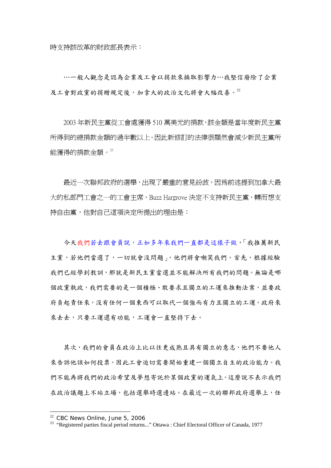時支持該改革的財政部長表示:

…一般人觀念是認為企業及工會以捐款來換取影響力…我堅信廢除了企業 及工會對政黨的捐贈規定後,加拿大的政治文化將會大幅改善。22

 2003 年新民主黨從工會處獲得 510 萬美元的捐款,該金額是當年度新民主黨 所得到的總捐款金額的過半數以上。因此新修訂的法律很顯然會減少新民主黨所 能獲得的捐款金額。23

 最近一次聯邦政府的選舉,出現了嚴重的意見紛歧,因為前述提到加拿大最 大的私部門工會之一的工會主席,Buzz Hargrove 決定不支持新民主黨,轉而想支 持自由黨,他對自己這項決定所提出的理由是:

今天我們若去跟會員說,正如多年來我們一直都是這樣子做,「我推薦新民 主黨,若他們當選了,一切就會沒問題」,他們將會嘲笑我們。首先,根據經驗 我們已經學到教訓,那就是新民主黨當選並不能解決所有我們的問題。無論是哪 個政黨執政,我們需要的是一個積極、敢要求且獨立的工運來推動法案,並要政 府負起責任來。沒有任何一個東西可以取代一個強而有力且獨立的工運。政府來 來去去,只要工運還有功能,工運會一直堅持下去。

 其次,我們的會員在政治上比以往更成熟且具有獨立的意志,他們不要他人 來告訴他該如何投票。因此工會迫切需要開始重建一個獨立自主的政治能力。我 們不能再將我們的政治希望及夢想寄託於某個政黨的運氣上。這麼說不表示我們 在政治議題上不站立場,包括選舉時選邊站。在最近一次的聯邦政府選舉上,任

<sup>&</sup>lt;sup>22</sup> CBC News Online, June 5, 2006

<sup>&</sup>lt;sup>23</sup> "Registered parties fiscal period returns..." Ottawa : Chief Electoral Officer of Canada, 1977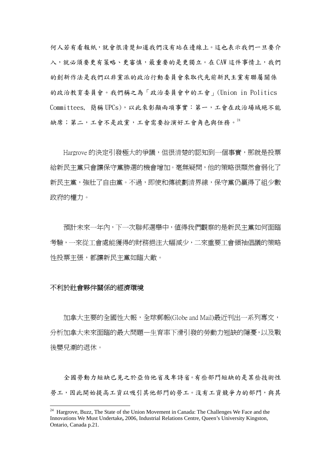何人若有看報紙,就會很清楚知道我們沒有站在邊線上。這也表示我們一旦要介 入,就必須要更有策略、更審慎,最重要的是更獨立。在 CAW 這件事情上,我們 的創新作法是我們以非黨派的政治行動委員會來取代先前新民主黨有聯屬關係 的政治教育委員會。我們稱之為「政治委員會中的工會」(Union in Politics Committees, 簡稱 UPCs),以此來彰顯兩項事實:第一,工會在政治場域絕不能 缺席;第二,工會不是政黨,工會需要扮演好工會角色與任務。<sup>24</sup>

Hargrove 的決定引發極大的爭議, 但很清楚的認知到一個事實, 那就是投票 給新民主黨只會讓保守黨勝選的機會增加。臺無疑問,他的策略很顯然會弱化了 新民主黨,強壯了自由黨。不過,即使和傳統劃清界線,保守黨仍贏得了組少數 政府的權力。

 預計未來一年內,下一次聯邦選舉中,值得我們觀察的是新民主黨如何面臨 考驗,一來從工會處能獲得的財務挹注大幅減少,二來重要工會領袖倡議的策略 性投票主張,都讓新民主黨如臨大敵。

#### 不利於社會夥伴關係的經濟環境

 $\overline{a}$ 

 加拿大主要的全國性大報,全球郵報(Globe and Mail)最近刊出一系列專文, 分析加拿大未來面臨的最大問題—生育率下滑引發的勞動力短缺的隱憂,以及戰 後嬰兒潮的退休。

 全國勞動力短缺已見之於亞伯他省及卑詩省。有些部門短缺的是某些技術性 勞工,因此開始提高工資以吸引其他部門的勞工。沒有工資競爭力的部門,與其

 $24$  Hargrove, Buzz. The State of the Union Movement in Canada: The Challenges We Face and the Innovations We Must Undertake**,** 2006, Industrial Relations Centre, Queen's University Kingston, Ontario, Canada p.21.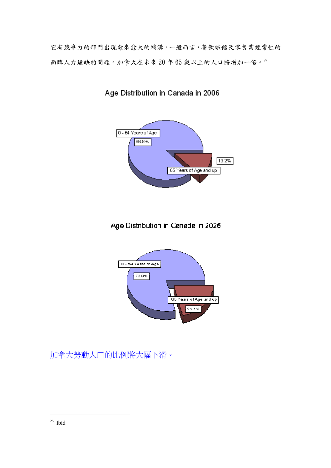它有競爭力的部門出現愈來愈大的鴻溝,一般而言,餐飲旅館及零售業經常性的 面臨人力短缺的問題。加拿大在未來 20 年 65 歲以上的人口將增加一倍。25



# Age Distribution in Canada in 2006

# Age Distribution in Canada in 2026



加拿大勞動人口的比例將大幅下滑。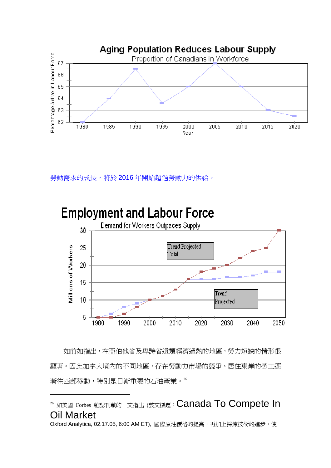

勞動需求的成長,將於 2016年開始超過勞動力的供給。



# **Employment and Labour Force**

 如前如指出,在亞伯他省及卑詩省這類經濟過熱的地區,勞力短缺的情形很 顯著。因此加拿大境內的不同地區,存在勞動力市場的競爭。居住東岸的勞工逐 漸往西部移動,特別是日漸重要的石油產業。26

 $\overline{a}$ 

Oxford Analytica, 02.17.05, 6:00 AM ET), 國際原油價格的提高,再加上採煉技術的進步,使

<sup>&</sup>lt;sup>26</sup> 如美國 Forbes 雜誌刊載的一文指出 (該文標題: Canada To Compete In Oil Market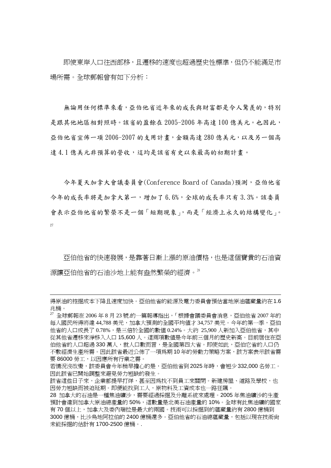即使東岸人口往西部移,且遷移的速度也超過歷史性標準,但仍不能滿足市 場所需。全球郵報曾有如下分析:

無論用任何標準來看,亞伯他省近年來的成長與財富都是令人驚羨的,特別 是跟其他地區相對照時。該省的盈餘在 2005-2006 年高達 100 億美元。也因此, 亞伯他省宣佈一項 2006-2007 的支用計畫,金額高達 280 億美元,以及另一個高 達 4.1 億美元非預算的營收,這均是該省有史以來最高的初期計書。

 今年夏天加拿大會議委員會(Conference Board of Canada)預測,亞伯他省 今年的成長率將是加拿大第一,增加了 6.6%,全球的成長率只有 3.3%。該委員 會表示亞伯他省的繁榮不是一個「短期現象」,而是「經濟上永久的結構變化」。 27

 亞伯他省的快速發展,是靠著日漸上漲的原油價格,也是這個寶貴的石油資 源讓亞伯他省的石油沙地上能有盎然繁榮的經濟。28

得原油的按掘成本下降且速度加快。亞伯他省的能源及電力委員會預估當地原油蘊藏量約在1.6 兆桶。

 $^{27}$  全球郵報在 2006年8月 23號.的一篇報導指出,「根據會議委員會消息,亞伯他省 2007年的 每人國民所得將達 44,788 美元,加拿大預測的全國平均值才 34,757 美元。今年的第一季,亞伯 他省的人口成長了 0.78%,是三倍於全國的數值 0.24%。大約 25,900 人新加入亞伯他省,其中 從其他省遷移來淨移入人口 15,600 人。這兩項數值是今年前三個月的歷史新高。目前居住在亞 伯他省的人口超過 330 萬人,就人口數而言,是全國第四大省。即使如此,亞伯它省的人口仍 不敷經濟生產所需。因此該省最近公佈了一項為期 10 年的勞動力策略方案,該方案表示該省需 要 86000 勞工,以因應所有行業之需。

若情況沒改變,該委員會今年稍早擔心的是,亞伯他省到 2025 年時,會短少 332,000 名勞工。 因此該省已開始調整來避免勞力短缺的發生。

該省這些日子來,企業都提早打烊,甚至因為找不到員工來關閉。新建房屋、道路及學校,也 因勞力短缺而被迫延期。即便能找到工人,原物料及工資成本也一路狂飆。

<sup>28</sup> 加拿大的石油是一種焦油礦沙,需要經過採掘及分離系統來處理。2005 年焦油礦沙的生產 預計會達到加拿大原油總產量的 50%,這數量是北美石油產量的 10%。全球有此焦油礦的國家 有 70 個以上,加拿大及委內瑞拉是最大的兩國。技術可以採掘到的蘊藏量約有 2800 億桶到 3000 億桶,比沙烏地阿拉伯的 2400 億桶還多。亞伯他省的石油總蘊藏量,包括以現在技術尙 未能採掘的估計有 1700-2500 億桶。.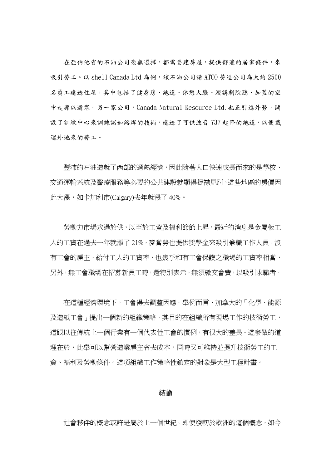在亞伯他省的石油公司毫無選擇,都需要建房屋,提供舒適的居家條件,來 吸引勞工。以 shell Canada Ltd 為例,該石油公司請 ATCO 營造公司為大約 2500 名員工建造住屋,其中包括了健身房、跑道、休憩大廳、演講劇院聽、加蓋的空 中走廊以避寒。另一家公司,Canada Natural Resource Ltd.也正引進外勞,開 設了訓練中心來訓練諸如鎔焊的技術,建造了可供波音737 起降的跑道,以便載 運外地來的勞工。

 豐沛的石油造就了西部的過熱經濟,因此隨著人口快速成長而來的是學校、 交通運輸系統及醫療服務等必要的公共建設就顯得捉襟見肘。這些地區的房價因 此大漲,如卡加利市(Calgary)去年就漲了 40%。

勞動力市場求過於供,以至於工資及福利節節上昇,最近的消息是金屬板工 人的工資在過去一年就漲了 21%,麥當勞也提供獎學金來吸引兼職工作人員。沒 有工會的雇主,給付工人的工資率,也幾乎和有工會保護之職場的工資率相當, 另外,無工會職場在招募新員工時,還特別表示,無須繳交會費,以吸引求職者。

 在這種經濟環境下,工會得去調整因應。舉例而言,加拿大的「化學、能源 及造紙工會」提出一個新的組織策略,其目的在組織所有現場工作的技術勞工, 這跟以往傳統上一個行業有一個代表性工會的慣例,有很大的差異。這麼做的道 理在於,此舉可以幫營造業雇主省去成本,同時又可維持並提升技術勞工的工 資、福利及勞動條件。這項組織工作策略性鎖定的對象是大型工程計畫。

#### 結論

社會夥伴的概念或許是屬於上一個世紀。即使發軔於歐洲的這個概念,如今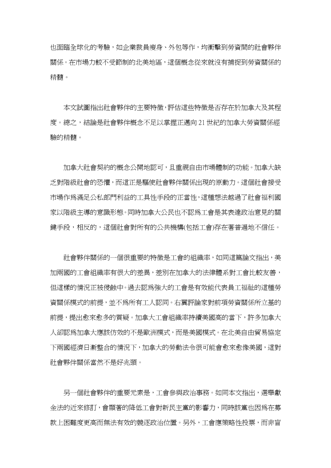也面臨全球化的考驗,如企業裁員瘦身、外包等作,均衝擊到勞資間的社會夥伴 關係。在市場力較不受節制的北美地區,這個概念從來就沒有捕捉到勞資關係的 精髓。

 本文試圖指出社會夥伴的主要特徵,評估這些特徵是否存在於加拿大及其程 度。總之,結論是社會夥伴概念不足以掌握正邁向 21 世紀的加拿大勞資關係經 驗的精髓。

 加拿大社會契約的概念公開地認可,且重視自由市場體制的功能。加拿大缺 乏對階級社會的恐懼,而這正是驅使社會夥伴關係出現的原動力。這個社會接受 市場作為滿足公私部門利益的工具性手段的正當性,這種想法越過了社會福利國 家以階級主導的意識形態。同時加拿大公民也不認為工會是其表達政治意見的關 鍵手段,相反的,這個社會對所有的公共機構(包括工會)存在著普遍地不信任。

 社會夥伴關係的一個很重要的特徵是工會的組織率,如同這篇論文指出,美 加兩國的工會組織率有很大的差異,差別在加拿大的法律體系對工會比較友善, 但這樣的情況正被侵蝕中。過去認為強大的工會是有效能代表員工福祉的這種勞 資關係模式的前提,並不為所有工人認同。右翼評論家對前項勞資關係所立基的 前提,提出愈來愈多的質疑。加拿大工會組織率持續美國高的當下,許多加拿大 人卻認為加拿大應該仿效的不是歐洲模式,而是美國模式。在北美自由貿易協定 下兩國經濟日漸整合的情況下,加拿大的勞動法令很可能會愈來愈像美國,這對 社會夥伴關係當然不是好兆頭。

 另一個社會夥伴的重要元素是,工會參與政治事務。如同本文指出,選舉獻 金法的近來修訂,會顯著的降低工會對新民主黨的影響力,同時該黨也因為在募 款上困難度更高而無法有效的競逐政治位置。另外,工會應策略性投票,而非盲